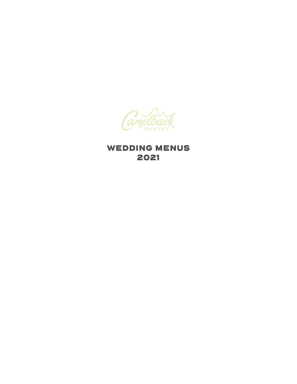

# WEDDING MENUS 2021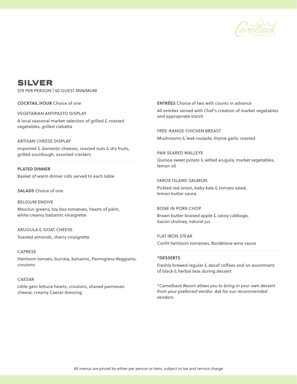

# SILVER

\$79 PER PERSON | 50 GUEST MINIMUM

**COCKTAIL HOUR** Choice of one

VEGETARIAN ANTIPASTO DISPLAY

A local seasonal market selection of grilled & roasted vegetables, grilled ciabatta

ARTISAN CHEESE DISPLAY Imported & domestic cheeses, roasted nuts & dry fruits, grilled sourdough, assorted crackers

**PLATED DINNER** Basket of warm dinner rolls served to each table

**SALADS** Choice of one

BELGIUM ENDIVE Mesclun greens, toy box tomatoes, hearts of palm, white creamy balsamic vinaigrette

ARUGULA & GOAT CHEESE Toasted almonds, sherry vinaigrette

CAPRESE Heirloom tomato, burrata, balsamic, Parmigiano Reggiano, croutons

## CAESAR

Little gem lettuce hearts, croutons, shaved parmesan cheese, creamy Caesar dressing

**ENTRÉES** Choice of two with counts in advance All entrées served with Chef's creation of market vegetables and appropriate starch

FREE-RANGE CHICKEN BREAST Mushrooms & leek roulade, thyme garlic roasted

PAN SEARED WALLEYE Quinoa sweet potato & wilted arugula, market vegetables, lemon oil

FAROE ISLAND SALMON Pickled red onion, baby kale & tomato salad, lemon butter sauce

BONE IN PORK CHOP Brown butter braised apple & savoy cabbage, bacon chutney, natural jus

FLAT IRON STEAK Confit heirloom tomatoes, Bordelaise wine sauce

#### **\*DESSERTS**

Freshly brewed regular & decaf coffees and an assortment of black & herbal teas during dessert

\**Camelback Resort allows you to bring in your own dessert from your preferred vendor. Ask for our recommended vendors.*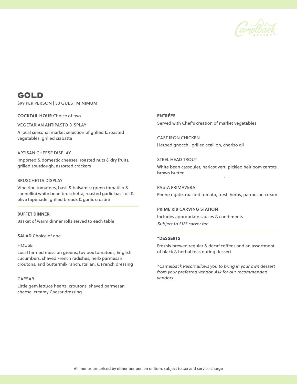

# GOLD

\$99 PER PERSON | 50 GUEST MINIMUM

**COCKTAIL HOUR** Choice of two

VEGETARIAN ANTIPASTO DISPLAY

A local seasonal market selection of grilled & roasted vegetables, grilled ciabatta

## ARTISAN CHEESE DISPLAY

Imported & domestic cheeses, roasted nuts & dry fruits, grilled sourdough, assorted crackers

#### BRUSCHETTA DISPLAY

Vine ripe tomatoes, basil & balsamic; green tomatillo & cannellini white bean bruschetta; roasted garlic basil oil & olive tapenade; grilled breads & garlic crostini

**BUFFET DINNER**

Basket of warm dinner rolls served to each table

**SALAD** Choice of one

#### **HOUSE**

Local farmed mesclun greens, toy box tomatoes, English cucumbers, shaved French radishes, herb parmesan croutons, and buttermilk ranch, Italian, & French dressing

## CAESAR

Little gem lettuce hearts, croutons, shaved parmesan cheese, creamy Caesar dressing

**ENTRÉES**

Served with Chef's creation of market vegetables

CAST IRON CHICKEN Herbed gnocchi, grilled scallion, chorizo oil

STEEL HEAD TROUT White bean cassoulet, haricot vert, pickled heirloom carrots, brown butter  $\mathbf{r}$ 

PASTA PRIMAVERA Penne rigate, roasted tomato, fresh herbs, parmesan cream

**PRIME RIB CARVING STATION** Includes appropriate sauces & condiments Subject to \$125 carver fee

## **\*DESSERTS**

Freshly brewed regular & decaf coffees and an assortment of black & herbal teas during dessert

\**Camelback Resort allows you to bring in your own dessert from your preferred vendor. Ask for our recommended vendors*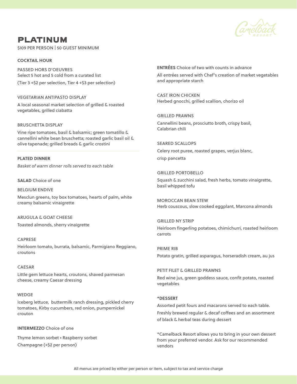

# PLATINUM

\$109 PER PERSON | 50 GUEST MINIMUM

## **COCKTAIL HOUR**

PASSED HORS D'OEUVRES Select 5 hot and 5 cold from a curated list (Tier 3 +\$2 per selection, Tier 4 +\$3 per selection)

VEGETARIAN ANTIPASTO DISPLAY A local seasonal market selection of grilled & roasted vegetables, grilled ciabatta

### BRUSCHETTA DISPLAY

Vine ripe tomatoes, basil & balsamic; green tomatillo & cannellini white bean bruschetta; roasted garlic basil oil & olive tapenade; grilled breads & garlic crostini

**PLATED DINNER** *Basket of warm dinner rolls served to each table*

## **SALAD** Choice of one

BELGIUM ENDIVE Mesclun greens, toy box tomatoes, hearts of palm, white creamy balsamic vinaigrette

ARUGULA & GOAT CHEESE Toasted almonds, sherry vinaigrette

CAPRESE Heirloom tomato, burrata, balsamic, Parmigiano Reggiano, croutons

#### CAESAR

Little gem lettuce hearts, croutons, shaved parmesan cheese, creamy Caesar dressing

#### WEDGE

Iceberg lettuce, buttermilk ranch dressing, pickled cherry tomatoes, Kirby cucumbers, red onion, pumpernickel crouton

## **INTERMEZZO** Choice of one

Thyme lemon sorbet • Raspberry sorbet Champagne (+\$2 per person)

**ENTRÉES** Choice of two with counts in advance All entrées served with Chef's creation of market vegetables and appropriate starch

CAST IRON CHICKEN Herbed gnocchi, grilled scallion, chorizo oil

GRILLED PRAWNS Cannellini beans, prosciutto broth, crispy basil, Calabrian chili

SEARED SCALLOPS Celery root puree, roasted grapes, verjus blanc, crisp pancetta

#### GRILLED PORTOBELLO

Squash & zucchini salad, fresh herbs, tomato vinaigrette, basil whipped tofu

MOROCCAN BEAN STEW Herb couscous, slow cooked eggplant, Marcona almonds

GRILLED NY STRIP Heirloom fingerling potatoes, chimichurri, roasted heirloom carrots

PRIME RIB Potato gratin, grilled asparagus, horseradish cream, au jus

PETIT FILET & GRILLED PRAWNS Red wine jus, green goddess sauce, confit potato, roasted vegetables

## **\*DESSERT**

Assorted petit fours and macarons served to each table. Freshly brewed regular & decaf coffees and an assortment of black & herbal teas during dessert

\*Camelback Resort allows you to bring in your own dessert from your preferred vendor. Ask for our recommended vendors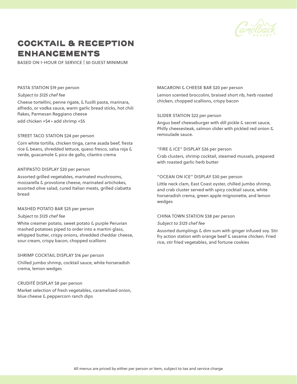

# COCKTAIL & RECEPTION ENHANCEMENTS

BASED ON 1-HOUR OF SERVICE | 50 GUEST MINIMUM

#### PASTA STATION \$19 per person

#### Subject to \$125 chef fee

Cheese tortellini, penne rigate, & fusilli pasta, marinara, alfredo, or vodka sauce, warm garlic bread sticks, hot chili flakes, Parmesan Reggiano cheese add chicken +\$4 • add shrimp +\$5

#### STREET TACO STATION \$24 per person

Corn white tortilla, chicken tinga, carne asada beef, fiesta rice & beans, shredded lettuce, queso fresco, salsa roja & verde, guacamole & pico de gallo, cilantro crema

#### ANTIPASTO DISPLAY \$20 per person

Assorted grilled vegetables, marinated mushrooms, mozzarella & provolone cheese, marinated artichokes, assorted olive salad, cured Italian meats, grilled ciabatta bread

#### MASHED POTATO BAR \$25 per person

#### Subject to \$125 chef fee

White creamer potato, sweet potato & purple Peruvian mashed potatoes piped to order into a martini glass, whipped butter, crispy onions, shredded cheddar cheese, sour cream, crispy bacon, chopped scallions

## SHRIMP COCKTAIL DISPLAY \$16 per person

Chilled jumbo shrimp, cocktail sauce, white horseradish crema, lemon wedges

### CRUDITÉ DISPLAY \$8 per person

Market selection of fresh vegetables, caramelized onion, blue cheese & peppercorn ranch dips

### MACARONI & CHEESE BAR \$20 per person

Lemon scented broccolini, braised short rib, herb roasted chicken, chopped scallions, crispy bacon

### SLIDER STATION \$22 per person

Angus beef cheeseburger with dill pickle & secret sauce, Philly cheesesteak, salmon slider with pickled red onion & remoulade sauce.

## "FIRE & ICE" DISPLAY \$26 per person

Crab clusters, shrimp cocktail, steamed mussels, prepared with roasted garlic herb butter

#### "OCEAN ON ICE" DISPLAY \$30 per person

Little neck clam, East Coast oyster, chilled jumbo shrimp, and crab cluster served with spicy cocktail sauce, white horseradish crema, green apple mignonette, and lemon wedges

#### CHINA TOWN STATION \$38 per person

#### Subject to \$125 chef fee

Assorted dumplings & dim sum with ginger infused soy. Stir fry action station with orange beef & sesame chicken. Fried rice, stir fried vegetables, and fortune cookies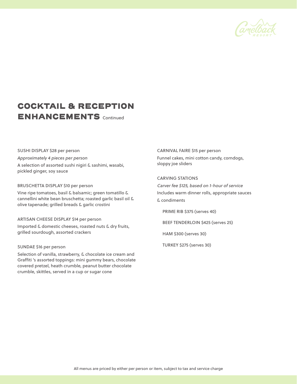

# COCKTAIL & RECEPTION ENHANCEMENTS Continued

# SUSHI DISPLAY \$28 per person *Approximately 4 pieces per person* A selection of assorted sushi nigiri & sashimi, wasabi, pickled ginger, soy sauce

#### BRUSCHETTA DISPLAY \$10 per person

Vine ripe tomatoes, basil & balsamic; green tomatillo & cannellini white bean bruschetta; roasted garlic basil oil & olive tapenade; grilled breads & garlic crostini

## ARTISAN CHEESE DISPLAY \$14 per person

Imported & domestic cheeses, roasted nuts & dry fruits, grilled sourdough, assorted crackers

### SUNDAE \$16 per person

Selection of vanilla, strawberry, & chocolate ice cream and Graffiti 's assorted toppings: mini gummy bears, chocolate covered pretzel, heath crumble, peanut butter chocolate crumble, skittles, served in a cup or sugar cone

## CARNIVAL FAIRE \$15 per person

Funnel cakes, mini cotton candy, corndogs, sloppy joe sliders

# CARVING STATIONS

Carver fee \$125, based on 1-hour of service Includes warm dinner rolls, appropriate sauces & condiments

PRIME RIB \$375 (serves 40)

BEEF TENDERLOIN \$425 (serves 25)

HAM \$300 (serves 30)

TURKEY \$275 (serves 30)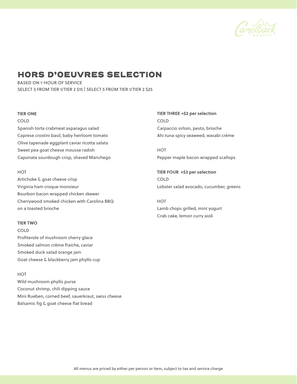

# HORS D'OEUVRES SELECTION

BASED ON 1-HOUR OF SERVICE SELECT 3 FROM TIER 1/TIER 2 \$15 | SELECT 5 FROM TIER 1/TIER 2 \$25

#### **TIER ONE**

COLD

Spanish torta crabmeat asparagus salad Caprese crostini basil, baby heirloom tomato Olive tapenade eggplant caviar ricotta salata Sweet pea goat cheese mousse radish Caponata sourdough crisp, shaved Manchego

## **HOT**

Artichoke & goat cheese crisp Virginia ham croque monsieur Bourbon bacon wrapped chicken skewer Cherrywood smoked chicken with Carolina BBQ on a toasted brioche

### **TIER TWO**

COLD Profiterole of mushroom sherry glace Smoked salmon crème fraiche, caviar Smoked duck salad orange jam Goat cheese & blackberry jam phyllo cup

## **HOT**

Wild mushroom phyllo purse Coconut shrimp, chili dipping sauce Mini Rueben, corned beef, sauerkraut, swiss cheese Balsamic fig & goat cheese flat bread

**TIER THREE +\$2 per selection** COLD Carpaccio sirloin, pesto, brioche Ahi tuna spicy seaweed, wasabi crème

**HOT** Pepper maple bacon wrapped scallops

**TIER FOUR +\$3 per selection** COLD Lobster salad avocado, cucumber, greens

**HOT** Lamb chops grilled, mint yogurt Crab cake, lemon curry aioli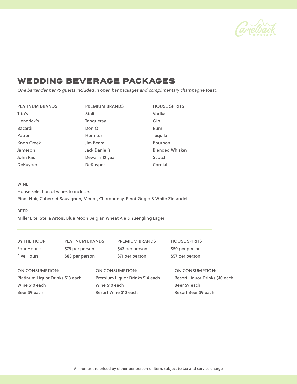

# WEDDING BEVERAGE PACKAGES

*One bartender per 75 guests included in open bar packages and complimentary champagne toast.*

| <b>PLATINUM BRANDS</b> | <b>PREMIUM BRANDS</b> | <b>HOUSE SPIRITS</b>   |
|------------------------|-----------------------|------------------------|
| Tito's                 | Stoli                 | Vodka                  |
| Hendrick's             | Tangueray             | Gin                    |
| <b>Bacardi</b>         | Don Q                 | Rum                    |
| Patron                 | <b>Hornitos</b>       | Tequila                |
| <b>Knob Creek</b>      | Jim Beam              | <b>Bourbon</b>         |
| Jameson                | Jack Daniel's         | <b>Blended Whiskey</b> |
| John Paul              | Dewar's 12 year       | Scotch                 |
| DeKuyper               | DeKuyper              | Cordial                |

### WINE

House selection of wines to include: Pinot Noir, Cabernet Sauvignon, Merlot, Chardonnay, Pinot Grigio & White Zinfandel

## BEER

Miller Lite, Stella Artois, Blue Moon Belgian Wheat Ale & Yuengling Lager

BY THE HOUR PLATINUM BRANDS PREMIUM BRANDS HOUSE SPIRITS Four Hours: \$79 per person \$63 per person \$50 per person

Five Hours: \$88 per person \$71 per person \$57 per person

ON CONSUMPTION: ON CONSUMPTION: ON CONSUMPTION: Platinum Liquor Drinks \$18 each Premium Liquor Drinks \$14 each Resort Liquor Drinks \$10 each Wine \$10 each **Wine \$10 each** Beer \$9 each Beer \$9 each Beer \$9 each **Resort Wine \$10 each** Resort Beer \$9 each Resort Beer \$9 each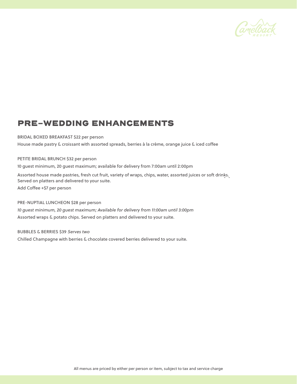

# PRE-WEDDING ENHANCEMENTS

BRIDAL BOXED BREAKFAST \$22 per person

House made pastry & croissant with assorted spreads, berries à la crème, orange juice & iced coffee

PETITE BRIDAL BRUNCH \$32 per person

10 guest minimum, 20 guest maximum; available for delivery from 7:00am until 2:00pm

Assorted house made pastries, fresh cut fruit, variety of wraps, chips, water, assorted juices or soft drinks. Served on platters and delivered to your suite.

Add Coffee +\$7 per person

## PRE-NUPTIAL LUNCHEON \$28 per person

*10 guest minimum, 20 guest maximum; Available for delivery from 11:00am until 3:00pm* Assorted wraps & potato chips. Served on platters and delivered to your suite.

BUBBLES & BERRIES \$39 Serves two

Chilled Champagne with berries & chocolate covered berries delivered to your suite.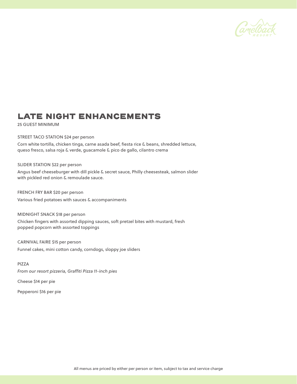

# LATE NIGHT ENHANCEMENTS

25 GUEST MINIMUM

STREET TACO STATION \$24 per person

Corn white tortilla, chicken tinga, carne asada beef, fiesta rice & beans, shredded lettuce, queso fresco, salsa roja & verde, guacamole & pico de gallo, cilantro crema

### SLIDER STATION \$22 per person

Angus beef cheeseburger with dill pickle & secret sauce, Philly cheesesteak, salmon slider with pickled red onion & remoulade sauce.

FRENCH FRY BAR \$20 per person Various fried potatoes with sauces & accompaniments

MIDNIGHT SNACK \$18 per person

Chicken fingers with assorted dipping sauces, soft pretzel bites with mustard, fresh popped popcorn with assorted toppings

CARNIVAL FAIRE \$15 per person Funnel cakes, mini cotton candy, corndogs, sloppy joe sliders

### PIZZA

*From our resort pizzeria, Graffiti Pizza 11-inch pies*

Cheese \$14 per pie

Pepperoni \$16 per pie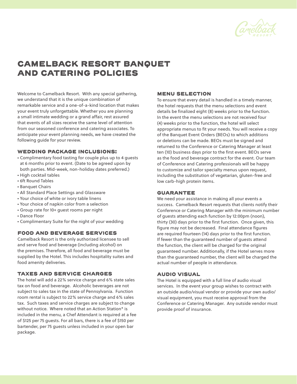

# CAMELBACK RESORT BANQUET AND CATERING POLICIES

Welcome to Camelback Resort. With any special gathering, we understand that it is the unique combination of remarkable service and a one-of-a-kind location that makes your event truly unforgettable. Whether you are planning a small intimate wedding or a grand affair, rest assured that events of all sizes receive the same level of attention from our seasoned conference and catering associates. To anticipate your event planning needs, we have created the following guide for your review.

# WEDDING PACKAGE INCLUSIONS:

- Complimentary food tasting for couple plus up to 4 guests at 6 months prior to event. (Date to be agreed upon by both parties. Mid-week, non-holiday dates preferred.)
- High cocktail tables
- 6ft Round Tables
- Banquet Chairs
- All Standard Place Settings and Glassware
- Your choice of white or ivory table linens
- Your choice of napkin color from a selection
- Group rate for 10+ guest rooms per night
- Dance Floor
- Complimentary Suite for the night of your wedding

## FOOD AND BEVERAGE SERVICES

Camelback Resort is the only authorized licensee to sell and serve food and beverage (including alcohol) on the premises. Therefore, all food and beverage must be supplied by the Hotel. This includes hospitality suites and food amenity deliveries.

## TAXES AND SERVICE CHARGES

The hotel will add a 22% service charge and 6% state sales tax on food and beverage. Alcoholic beverages are not subject to sales tax in the state of Pennsylvania. Function room rental is subject to 22% service charge and 6% sales tax. Such taxes and service charges are subject to change without notice. Where noted that an Action Station\* is included in the menu, a Chef Attendant is required at a fee of \$125 per 75 guests. For all bars, there is a fee of \$150 per bartender, per 75 guests unless included in your open bar package.

# MENU SELECTION

To ensure that every detail is handled in a timely manner, the hotel requests that the menu selections and event details be finalized eight (8) weeks prior to the function. In the event the menu selections are not received four (4) weeks prior to the function, the hotel will select appropriate menus to fit your needs. You will receive a copy of the Banquet Event Orders (BEOs) to which additions or deletions can be made. BEOs must be signed and returned to the Conference or Catering Manager at least ten (10) business days prior to the first event. BEOs serve as the food and beverage contract for the event. Our team of Conference and Catering professionals will be happy to customize and tailor specialty menus upon request, including the substitution of vegetarian, gluten-free and low carb-high protein items.

# GUARANTEE

We need your assistance in making all your events a success. Camelback Resort requests that clients notify their Conference or Catering Manager with the minimum number of guests attending each function by 12:00pm (noon), thirty (30) days prior to the first function. Once given, this figure may not be decreased. Final attendance figures are required fourteen (14) days prior to the first function. If fewer than the guaranteed number of guests attend the function, the client will be charged for the original guaranteed number. Additionally, if the Hotel serves more than the guaranteed number, the client will be charged the actual number of people in attendance.

# AUDIO VISUAL

The Hotel is equipped with a full line of audio visual services. In the event your group wishes to contract with an outside audio/visual vendor or provide your own audio/ visual equipment, you must receive approval from the Conference or Catering Manager. Any outside vendor must provide proof of insurance.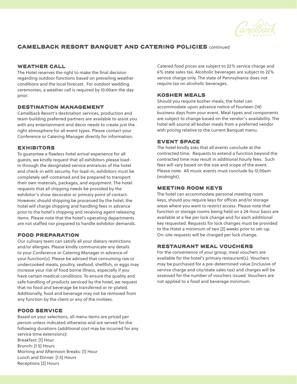

# CAMELBACK RESORT BANQUET AND CATERING POLICIES continued

# WEATHER CALL

The Hotel reserves the right to make the final decision regarding outdoor functions based on prevailing weather conditions and the local forecast. For outdoor wedding ceremonies, a weather call is required by 10:00am the day prior.

## DESTINATION MANAGEMENT

Camelback Resort's destination services, production and team building preferred partners are available to assist you with any entertainment and decor needs to create just the right atmosphere for all event types. Please contact your Conference or Catering Manager directly for information.

# EXHIBITORS

To guarantee a flawless hotel arrival experience for all guests, we kindly request that all exhibitors please loadin through the designated service entrances of the hotel and check-in with security. For load-in, exhibitors must be completely self-contained and be prepared to transport their own materials, packages, and equipment. The hotel requests that all shipping needs be provided by the exhibitor's show decorator or primary point of contact. However, should shipping be processed by the hotel, the hotel will charge shipping and handling fees in advance prior to the hotel's shipping and receiving agent releasing items. Please note that the hotel's operating departments are not staffed nor prepared to handle exhibitor demands.

# FOOD PREPARATION

Our culinary team can satisfy all your dietary restrictions and/or allergies. Please kindly communicate any details to your Conference or Catering Manager in advance of your function(s). Please be advised that consuming raw or undercooked meats, poultry, seafood, shellfish, or eggs may increase your risk of food borne illness, especially if you have certain medical conditions. To ensure the quality and safe handling of products serviced by the hotel, we request that no food and beverage be transferred or re-plated. Additionally, food and beverage may not be removed from any function by the client or any of the invitees.

# FOOD SERVICE

Based on your selections, all menu items are priced per person unless indicated otherwise and are served for the following durations (additional cost may be incurred for any service time extensions): Breakfast: [1] Hour Brunch: [1.5] Hours Morning and Afternoon Breaks: [1] Hour Lunch and Dinner: [1.5] Hours Receptions [2] Hours

Catered food prices are subject to 22% service charge and 6% state sales tax. Alcoholic beverages are subject to 22% service charge only. The state of Pennsylvania does not require tax on alcoholic beverages.

## KOSHER MEALS

Should you require kosher meals, the hotel can accommodate upon advance notice of fourteen (14) business days from your event. Meal types and components are subject to change based on the vendor's availability. The hotel will source all kosher meals from a preferred vendor with pricing relative to the current Banquet menu.

# EVENT SPACE

The hotel kindly asks that all events conclude at the contracted time. Requests to extend a function beyond the contracted time may result in additional hourly fees. Such fees will vary based on the size and scope of the event. Please note: All music events must conclude by 12:00am (midnight).

## MEETING ROOM KEYS

The hotel can accommodate personal meeting room keys, should you require keys for offices and/or storage areas where you want to restrict access. Please note that function or storage rooms being held on a 24-hour basis are available at a fee per lock change and for each additional key requested. Requests for lock changes must be provided to the Hotel a minimum of two [2] weeks prior to set-up. On-site requests will be charged per lock change.

# RESTAURANT MEAL VOUCHERS

For the convenience of your group, meal vouchers are available for the hotel's primary restaurant(s). Vouchers may be purchased for a pre-determined value (inclusive of service charge and city/state sales tax) and charges will be assessed for the number of vouchers issued. Vouchers are not applied to a food and beverage minimum.